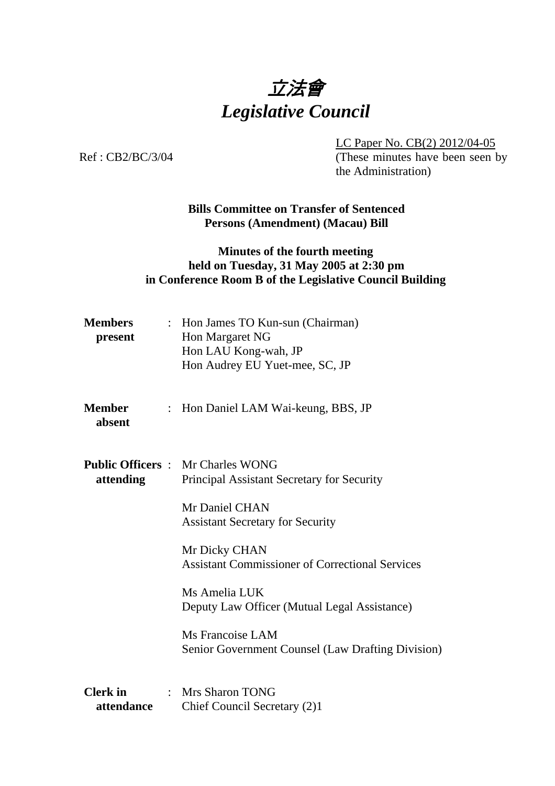

LC Paper No. CB(2) 2012/04-05

Ref : CB2/BC/3/04 (These minutes have been seen by the Administration)

> **Bills Committee on Transfer of Sentenced Persons (Amendment) (Macau) Bill**

## **Minutes of the fourth meeting held on Tuesday, 31 May 2005 at 2:30 pm in Conference Room B of the Legislative Council Building**

| <b>Members</b><br>present     | : Hon James TO Kun-sun (Chairman)<br>Hon Margaret NG<br>Hon LAU Kong-wah, JP<br>Hon Audrey EU Yuet-mee, SC, JP |
|-------------------------------|----------------------------------------------------------------------------------------------------------------|
| <b>Member</b><br>absent       | : Hon Daniel LAM Wai-keung, BBS, JP                                                                            |
| attending                     | <b>Public Officers: Mr Charles WONG</b><br>Principal Assistant Secretary for Security                          |
|                               | Mr Daniel CHAN<br><b>Assistant Secretary for Security</b>                                                      |
|                               | Mr Dicky CHAN<br><b>Assistant Commissioner of Correctional Services</b>                                        |
|                               | Ms Amelia LUK<br>Deputy Law Officer (Mutual Legal Assistance)                                                  |
|                               | Ms Francoise LAM<br><b>Senior Government Counsel (Law Drafting Division)</b>                                   |
| <b>Clerk</b> in<br>attendance | : Mrs Sharon TONG<br>Chief Council Secretary (2)1                                                              |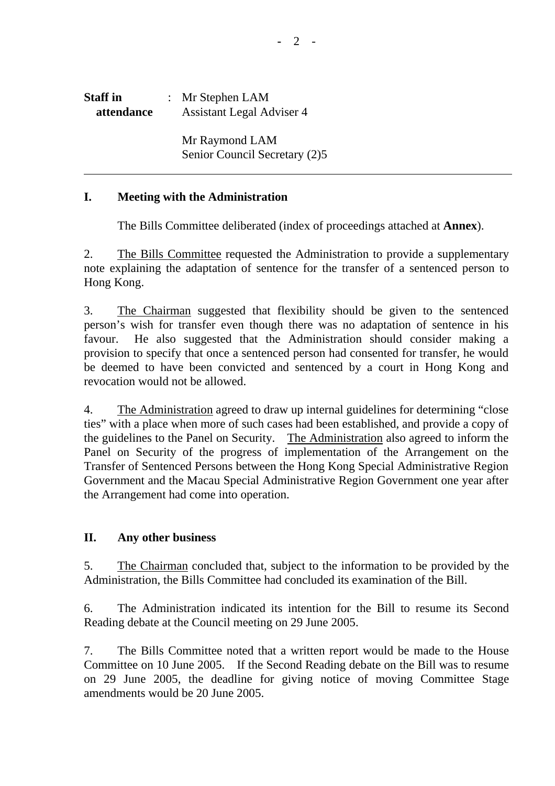| <b>Staff</b> in | : Mr Stephen $LAM$               |
|-----------------|----------------------------------|
| attendance      | <b>Assistant Legal Adviser 4</b> |
|                 |                                  |

 Mr Raymond LAM Senior Council Secretary (2)5

## **I. Meeting with the Administration**

1. The Bills Committee deliberated (index of proceedings attached at **Annex**).

2. The Bills Committee requested the Administration to provide a supplementary note explaining the adaptation of sentence for the transfer of a sentenced person to Hong Kong.

3. The Chairman suggested that flexibility should be given to the sentenced person's wish for transfer even though there was no adaptation of sentence in his favour. He also suggested that the Administration should consider making a provision to specify that once a sentenced person had consented for transfer, he would be deemed to have been convicted and sentenced by a court in Hong Kong and revocation would not be allowed.

4. The Administration agreed to draw up internal guidelines for determining "close ties" with a place when more of such cases had been established, and provide a copy of the guidelines to the Panel on Security. The Administration also agreed to inform the Panel on Security of the progress of implementation of the Arrangement on the Transfer of Sentenced Persons between the Hong Kong Special Administrative Region Government and the Macau Special Administrative Region Government one year after the Arrangement had come into operation.

## **II. Any other business**

5. The Chairman concluded that, subject to the information to be provided by the Administration, the Bills Committee had concluded its examination of the Bill.

6. The Administration indicated its intention for the Bill to resume its Second Reading debate at the Council meeting on 29 June 2005.

7. The Bills Committee noted that a written report would be made to the House Committee on 10 June 2005. If the Second Reading debate on the Bill was to resume on 29 June 2005, the deadline for giving notice of moving Committee Stage amendments would be 20 June 2005.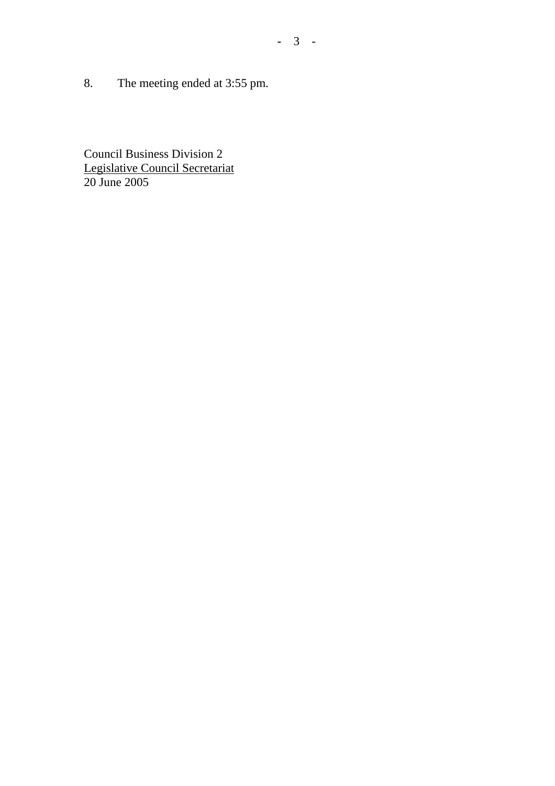8. The meeting ended at 3:55 pm.

Council Business Division 2 Legislative Council Secretariat 20 June 2005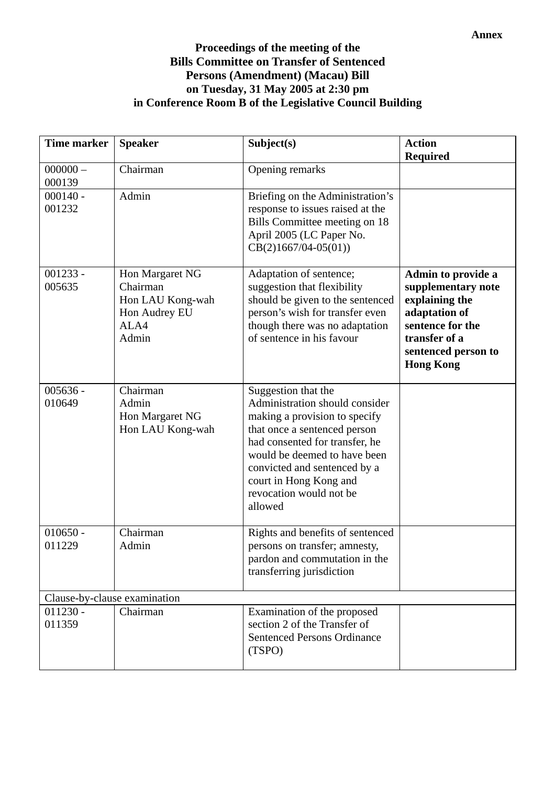## **Proceedings of the meeting of the Bills Committee on Transfer of Sentenced Persons (Amendment) (Macau) Bill on Tuesday, 31 May 2005 at 2:30 pm in Conference Room B of the Legislative Council Building**

| <b>Time marker</b>           | <b>Speaker</b>                                                                    | Subject(s)                                                                                                                                                                                                                                                                               | <b>Action</b><br><b>Required</b>                                                                                                                            |
|------------------------------|-----------------------------------------------------------------------------------|------------------------------------------------------------------------------------------------------------------------------------------------------------------------------------------------------------------------------------------------------------------------------------------|-------------------------------------------------------------------------------------------------------------------------------------------------------------|
| $000000 -$<br>000139         | Chairman                                                                          | Opening remarks                                                                                                                                                                                                                                                                          |                                                                                                                                                             |
| $000140 -$<br>001232         | Admin                                                                             | Briefing on the Administration's<br>response to issues raised at the<br>Bills Committee meeting on 18<br>April 2005 (LC Paper No.<br>$CB(2)1667/04-05(01))$                                                                                                                              |                                                                                                                                                             |
| $001233 -$<br>005635         | Hon Margaret NG<br>Chairman<br>Hon LAU Kong-wah<br>Hon Audrey EU<br>ALA4<br>Admin | Adaptation of sentence;<br>suggestion that flexibility<br>should be given to the sentenced<br>person's wish for transfer even<br>though there was no adaptation<br>of sentence in his favour                                                                                             | Admin to provide a<br>supplementary note<br>explaining the<br>adaptation of<br>sentence for the<br>transfer of a<br>sentenced person to<br><b>Hong Kong</b> |
| $005636 -$<br>010649         | Chairman<br>Admin<br>Hon Margaret NG<br>Hon LAU Kong-wah                          | Suggestion that the<br>Administration should consider<br>making a provision to specify<br>that once a sentenced person<br>had consented for transfer, he<br>would be deemed to have been<br>convicted and sentenced by a<br>court in Hong Kong and<br>revocation would not be<br>allowed |                                                                                                                                                             |
| $010650 -$<br>011229         | Chairman<br>Admin                                                                 | Rights and benefits of sentenced<br>persons on transfer; amnesty,<br>pardon and commutation in the<br>transferring jurisdiction                                                                                                                                                          |                                                                                                                                                             |
| Clause-by-clause examination |                                                                                   |                                                                                                                                                                                                                                                                                          |                                                                                                                                                             |
| $011230 -$<br>011359         | Chairman                                                                          | Examination of the proposed<br>section 2 of the Transfer of<br><b>Sentenced Persons Ordinance</b><br>(TSPO)                                                                                                                                                                              |                                                                                                                                                             |